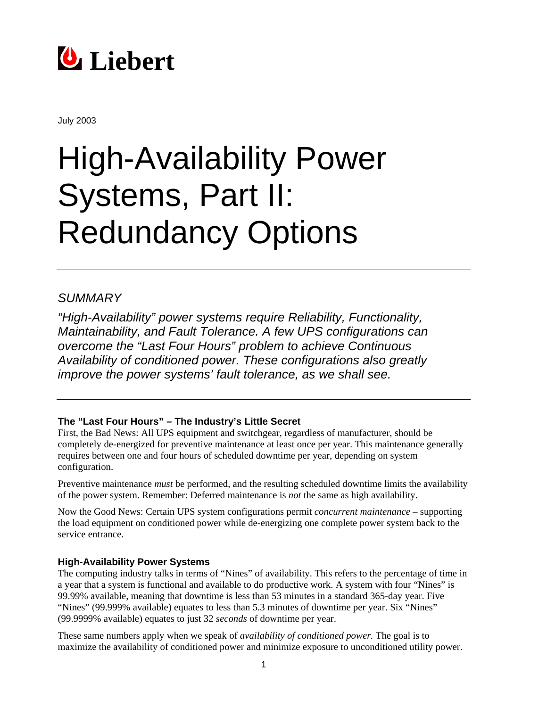

July 2003

# High-Availability Power Systems, Part II: Redundancy Options

## *SUMMARY*

*"High-Availability" power systems require Reliability, Functionality, Maintainability, and Fault Tolerance. A few UPS configurations can overcome the "Last Four Hours" problem to achieve Continuous Availability of conditioned power. These configurations also greatly improve the power systems' fault tolerance, as we shall see.* 

## **The "Last Four Hours" – The Industry's Little Secret**

First, the Bad News: All UPS equipment and switchgear, regardless of manufacturer, should be completely de-energized for preventive maintenance at least once per year. This maintenance generally requires between one and four hours of scheduled downtime per year, depending on system configuration.

Preventive maintenance *must* be performed, and the resulting scheduled downtime limits the availability of the power system. Remember: Deferred maintenance is *not* the same as high availability.

Now the Good News: Certain UPS system configurations permit *concurrent maintenance* – supporting the load equipment on conditioned power while de-energizing one complete power system back to the service entrance.

## **High-Availability Power Systems**

The computing industry talks in terms of "Nines" of availability. This refers to the percentage of time in a year that a system is functional and available to do productive work. A system with four "Nines" is 99.99% available, meaning that downtime is less than 53 minutes in a standard 365-day year. Five "Nines" (99.999% available) equates to less than 5.3 minutes of downtime per year. Six "Nines" (99.9999% available) equates to just 32 *seconds* of downtime per year.

These same numbers apply when we speak of *availability of conditioned power.* The goal is to maximize the availability of conditioned power and minimize exposure to unconditioned utility power.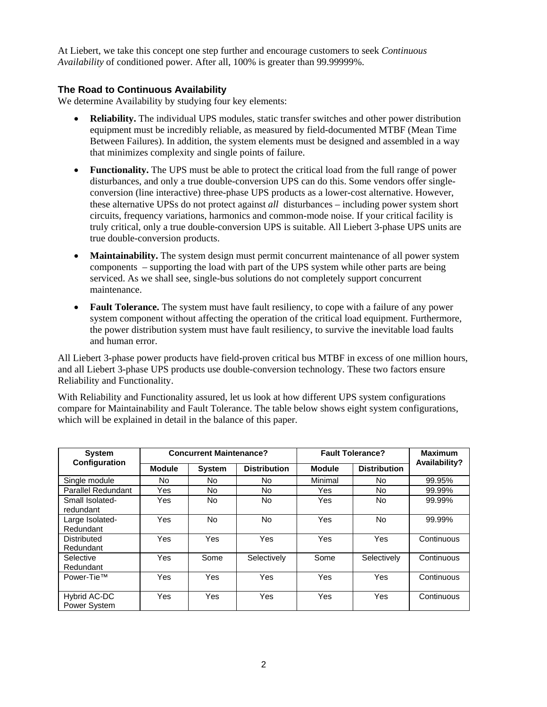At Liebert, we take this concept one step further and encourage customers to seek *Continuous Availability* of conditioned power. After all, 100% is greater than 99.99999%.

#### **The Road to Continuous Availability**

We determine Availability by studying four key elements:

- **Reliability.** The individual UPS modules, static transfer switches and other power distribution equipment must be incredibly reliable, as measured by field-documented MTBF (Mean Time Between Failures). In addition, the system elements must be designed and assembled in a way that minimizes complexity and single points of failure.
- **Functionality.** The UPS must be able to protect the critical load from the full range of power disturbances, and only a true double-conversion UPS can do this. Some vendors offer singleconversion (line interactive) three-phase UPS products as a lower-cost alternative. However, these alternative UPSs do not protect against *all* disturbances – including power system short circuits, frequency variations, harmonics and common-mode noise. If your critical facility is truly critical, only a true double-conversion UPS is suitable. All Liebert 3-phase UPS units are true double-conversion products.
- **Maintainability.** The system design must permit concurrent maintenance of all power system components – supporting the load with part of the UPS system while other parts are being serviced. As we shall see, single-bus solutions do not completely support concurrent maintenance.
- **Fault Tolerance.** The system must have fault resiliency, to cope with a failure of any power system component without affecting the operation of the critical load equipment. Furthermore, the power distribution system must have fault resiliency, to survive the inevitable load faults and human error.

All Liebert 3-phase power products have field-proven critical bus MTBF in excess of one million hours, and all Liebert 3-phase UPS products use double-conversion technology. These two factors ensure Reliability and Functionality.

With Reliability and Functionality assured, let us look at how different UPS system configurations compare for Maintainability and Fault Tolerance. The table below shows eight system configurations, which will be explained in detail in the balance of this paper.

| <b>System</b><br><b>Configuration</b> | <b>Concurrent Maintenance?</b> |               |                     | <b>Fault Tolerance?</b> |                     | <b>Maximum</b> |
|---------------------------------------|--------------------------------|---------------|---------------------|-------------------------|---------------------|----------------|
|                                       | <b>Module</b>                  | <b>System</b> | <b>Distribution</b> | <b>Module</b>           | <b>Distribution</b> | Availability?  |
| Single module                         | No.                            | No.           | No.                 | Minimal                 | No.                 | 99.95%         |
| <b>Parallel Redundant</b>             | Yes                            | No.           | No                  | Yes                     | No.                 | 99.99%         |
| Small Isolated-<br>redundant          | Yes                            | No.           | No                  | Yes                     | No.                 | 99.99%         |
| Large Isolated-<br>Redundant          | Yes                            | <b>No</b>     | No.                 | Yes                     | No.                 | 99.99%         |
| Distributed<br>Redundant              | Yes                            | Yes           | Yes                 | Yes                     | Yes                 | Continuous     |
| Selective<br>Redundant                | Yes                            | Some          | Selectively         | Some                    | Selectively         | Continuous     |
| Power-Tie™                            | Yes                            | <b>Yes</b>    | Yes                 | <b>Yes</b>              | Yes                 | Continuous     |
| Hybrid AC-DC<br>Power System          | Yes                            | Yes           | Yes                 | Yes                     | Yes                 | Continuous     |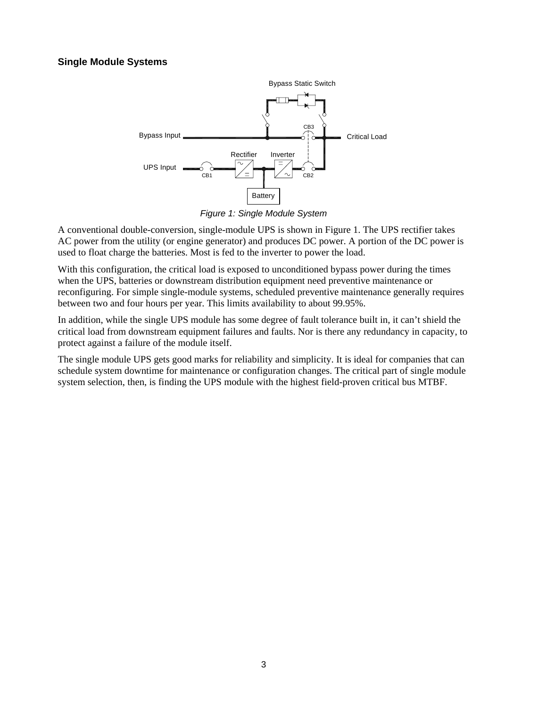### **Single Module Systems**



*Figure 1: Single Module System*

A conventional double-conversion, single-module UPS is shown in Figure 1. The UPS rectifier takes AC power from the utility (or engine generator) and produces DC power. A portion of the DC power is used to float charge the batteries. Most is fed to the inverter to power the load.

With this configuration, the critical load is exposed to unconditioned bypass power during the times when the UPS, batteries or downstream distribution equipment need preventive maintenance or reconfiguring. For simple single-module systems, scheduled preventive maintenance generally requires between two and four hours per year. This limits availability to about 99.95%.

In addition, while the single UPS module has some degree of fault tolerance built in, it can't shield the critical load from downstream equipment failures and faults. Nor is there any redundancy in capacity, to protect against a failure of the module itself.

The single module UPS gets good marks for reliability and simplicity. It is ideal for companies that can schedule system downtime for maintenance or configuration changes. The critical part of single module system selection, then, is finding the UPS module with the highest field-proven critical bus MTBF.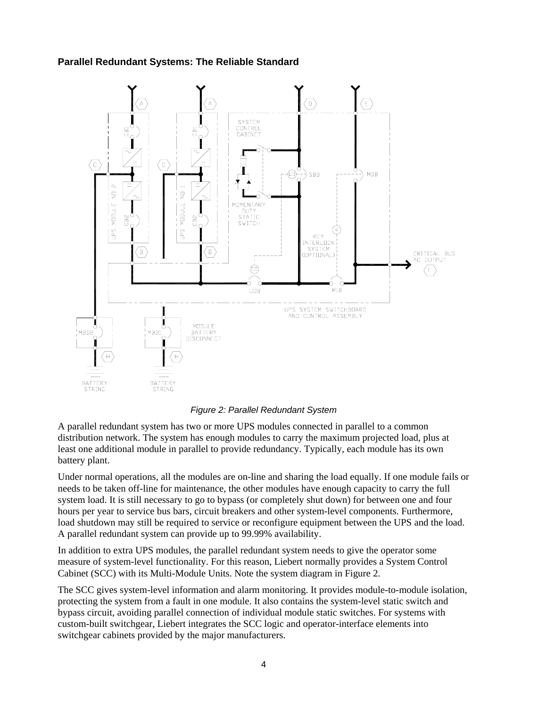## **Parallel Redundant Systems: The Reliable Standard**



*Figure 2: Parallel Redundant System*

A parallel redundant system has two or more UPS modules connected in parallel to a common distribution network. The system has enough modules to carry the maximum projected load, plus at least one additional module in parallel to provide redundancy. Typically, each module has its own battery plant.

Under normal operations, all the modules are on-line and sharing the load equally. If one module fails or needs to be taken off-line for maintenance, the other modules have enough capacity to carry the full system load. It is still necessary to go to bypass (or completely shut down) for between one and four hours per year to service bus bars, circuit breakers and other system-level components. Furthermore, load shutdown may still be required to service or reconfigure equipment between the UPS and the load. A parallel redundant system can provide up to 99.99% availability.

In addition to extra UPS modules, the parallel redundant system needs to give the operator some measure of system-level functionality. For this reason, Liebert normally provides a System Control Cabinet (SCC) with its Multi-Module Units. Note the system diagram in Figure 2.

The SCC gives system-level information and alarm monitoring. It provides module-to-module isolation, protecting the system from a fault in one module. It also contains the system-level static switch and bypass circuit, avoiding parallel connection of individual module static switches. For systems with custom-built switchgear, Liebert integrates the SCC logic and operator-interface elements into switchgear cabinets provided by the major manufacturers.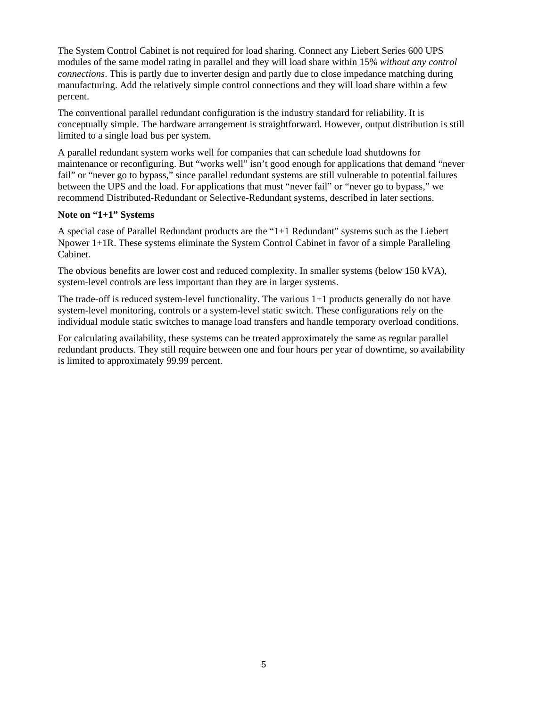The System Control Cabinet is not required for load sharing. Connect any Liebert Series 600 UPS modules of the same model rating in parallel and they will load share within 15% *without any control connections*. This is partly due to inverter design and partly due to close impedance matching during manufacturing. Add the relatively simple control connections and they will load share within a few percent.

The conventional parallel redundant configuration is the industry standard for reliability. It is conceptually simple. The hardware arrangement is straightforward. However, output distribution is still limited to a single load bus per system.

A parallel redundant system works well for companies that can schedule load shutdowns for maintenance or reconfiguring. But "works well" isn't good enough for applications that demand "never fail" or "never go to bypass," since parallel redundant systems are still vulnerable to potential failures between the UPS and the load. For applications that must "never fail" or "never go to bypass," we recommend Distributed-Redundant or Selective-Redundant systems, described in later sections.

#### **Note on "1+1" Systems**

A special case of Parallel Redundant products are the "1+1 Redundant" systems such as the Liebert Npower 1+1R. These systems eliminate the System Control Cabinet in favor of a simple Paralleling Cabinet.

The obvious benefits are lower cost and reduced complexity. In smaller systems (below 150 kVA), system-level controls are less important than they are in larger systems.

The trade-off is reduced system-level functionality. The various 1+1 products generally do not have system-level monitoring, controls or a system-level static switch. These configurations rely on the individual module static switches to manage load transfers and handle temporary overload conditions.

For calculating availability, these systems can be treated approximately the same as regular parallel redundant products. They still require between one and four hours per year of downtime, so availability is limited to approximately 99.99 percent.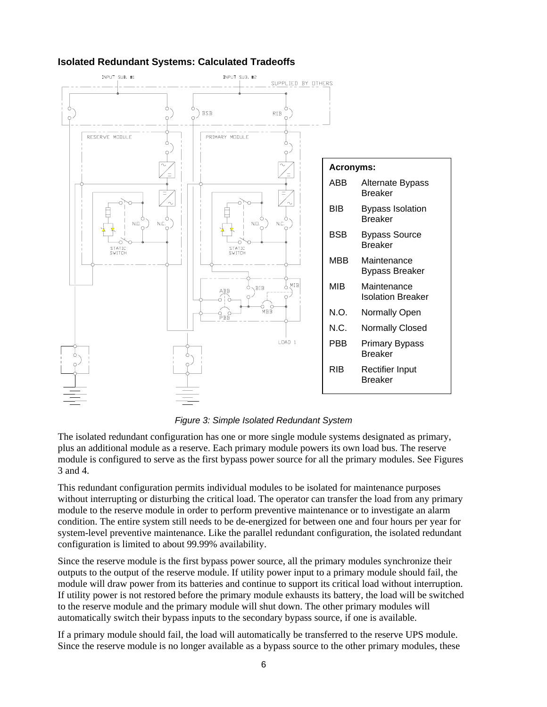

## **Isolated Redundant Systems: Calculated Tradeoffs**

*Figure 3: Simple Isolated Redundant System*

The isolated redundant configuration has one or more single module systems designated as primary, plus an additional module as a reserve. Each primary module powers its own load bus. The reserve module is configured to serve as the first bypass power source for all the primary modules. See Figures 3 and 4.

This redundant configuration permits individual modules to be isolated for maintenance purposes without interrupting or disturbing the critical load. The operator can transfer the load from any primary module to the reserve module in order to perform preventive maintenance or to investigate an alarm condition. The entire system still needs to be de-energized for between one and four hours per year for system-level preventive maintenance. Like the parallel redundant configuration, the isolated redundant configuration is limited to about 99.99% availability.

Since the reserve module is the first bypass power source, all the primary modules synchronize their outputs to the output of the reserve module. If utility power input to a primary module should fail, the module will draw power from its batteries and continue to support its critical load without interruption. If utility power is not restored before the primary module exhausts its battery, the load will be switched to the reserve module and the primary module will shut down. The other primary modules will automatically switch their bypass inputs to the secondary bypass source, if one is available.

If a primary module should fail, the load will automatically be transferred to the reserve UPS module. Since the reserve module is no longer available as a bypass source to the other primary modules, these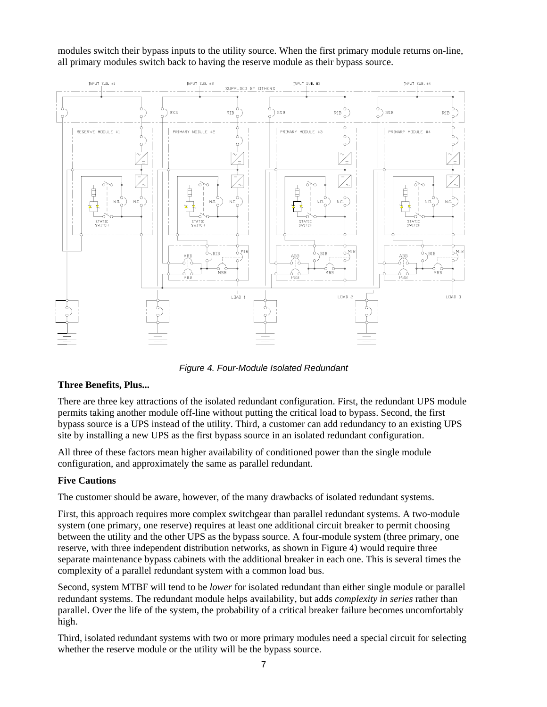modules switch their bypass inputs to the utility source. When the first primary module returns on-line, all primary modules switch back to having the reserve module as their bypass source.



*Figure 4. Four-Module Isolated Redundant* 

## **Three Benefits, Plus...**

There are three key attractions of the isolated redundant configuration. First, the redundant UPS module permits taking another module off-line without putting the critical load to bypass. Second, the first bypass source is a UPS instead of the utility. Third, a customer can add redundancy to an existing UPS site by installing a new UPS as the first bypass source in an isolated redundant configuration.

All three of these factors mean higher availability of conditioned power than the single module configuration, and approximately the same as parallel redundant.

#### **Five Cautions**

The customer should be aware, however, of the many drawbacks of isolated redundant systems.

First, this approach requires more complex switchgear than parallel redundant systems. A two-module system (one primary, one reserve) requires at least one additional circuit breaker to permit choosing between the utility and the other UPS as the bypass source. A four-module system (three primary, one reserve, with three independent distribution networks, as shown in Figure 4) would require three separate maintenance bypass cabinets with the additional breaker in each one. This is several times the complexity of a parallel redundant system with a common load bus.

Second, system MTBF will tend to be *lower* for isolated redundant than either single module or parallel redundant systems. The redundant module helps availability, but adds *complexity in series* rather than parallel. Over the life of the system, the probability of a critical breaker failure becomes uncomfortably high.

Third, isolated redundant systems with two or more primary modules need a special circuit for selecting whether the reserve module or the utility will be the bypass source.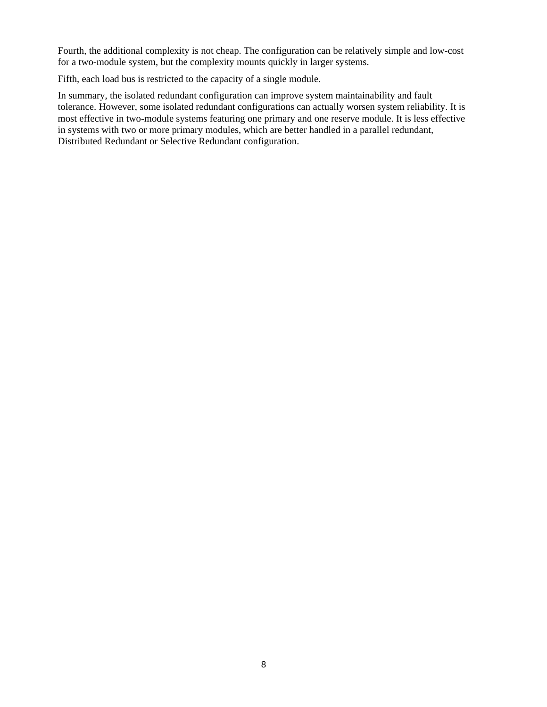Fourth, the additional complexity is not cheap. The configuration can be relatively simple and low-cost for a two-module system, but the complexity mounts quickly in larger systems.

Fifth, each load bus is restricted to the capacity of a single module.

In summary, the isolated redundant configuration can improve system maintainability and fault tolerance. However, some isolated redundant configurations can actually worsen system reliability. It is most effective in two-module systems featuring one primary and one reserve module. It is less effective in systems with two or more primary modules, which are better handled in a parallel redundant, Distributed Redundant or Selective Redundant configuration.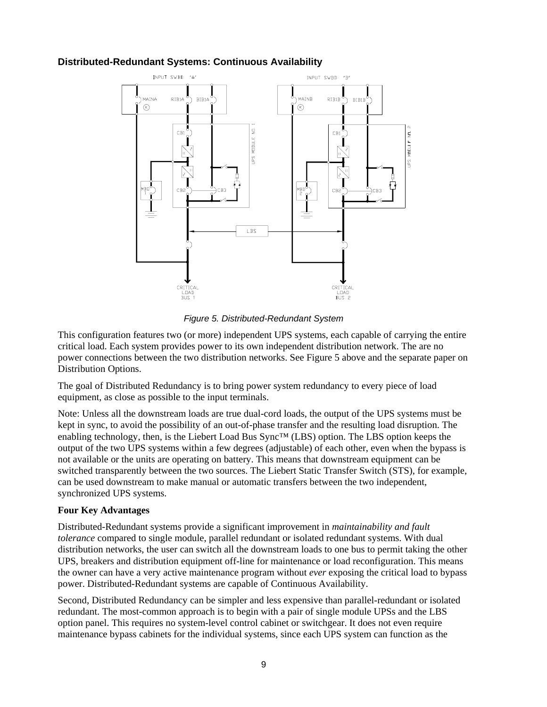## **Distributed-Redundant Systems: Continuous Availability**



*Figure 5. Distributed-Redundant System*

This configuration features two (or more) independent UPS systems, each capable of carrying the entire critical load. Each system provides power to its own independent distribution network. The are no power connections between the two distribution networks. See Figure 5 above and the separate paper on Distribution Options.

The goal of Distributed Redundancy is to bring power system redundancy to every piece of load equipment, as close as possible to the input terminals.

Note: Unless all the downstream loads are true dual-cord loads, the output of the UPS systems must be kept in sync, to avoid the possibility of an out-of-phase transfer and the resulting load disruption. The enabling technology, then, is the Liebert Load Bus Sync™ (LBS) option. The LBS option keeps the output of the two UPS systems within a few degrees (adjustable) of each other, even when the bypass is not available or the units are operating on battery. This means that downstream equipment can be switched transparently between the two sources. The Liebert Static Transfer Switch (STS), for example, can be used downstream to make manual or automatic transfers between the two independent, synchronized UPS systems.

#### **Four Key Advantages**

Distributed-Redundant systems provide a significant improvement in *maintainability and fault tolerance* compared to single module, parallel redundant or isolated redundant systems. With dual distribution networks, the user can switch all the downstream loads to one bus to permit taking the other UPS, breakers and distribution equipment off-line for maintenance or load reconfiguration. This means the owner can have a very active maintenance program without *ever* exposing the critical load to bypass power. Distributed-Redundant systems are capable of Continuous Availability.

Second, Distributed Redundancy can be simpler and less expensive than parallel-redundant or isolated redundant. The most-common approach is to begin with a pair of single module UPSs and the LBS option panel. This requires no system-level control cabinet or switchgear. It does not even require maintenance bypass cabinets for the individual systems, since each UPS system can function as the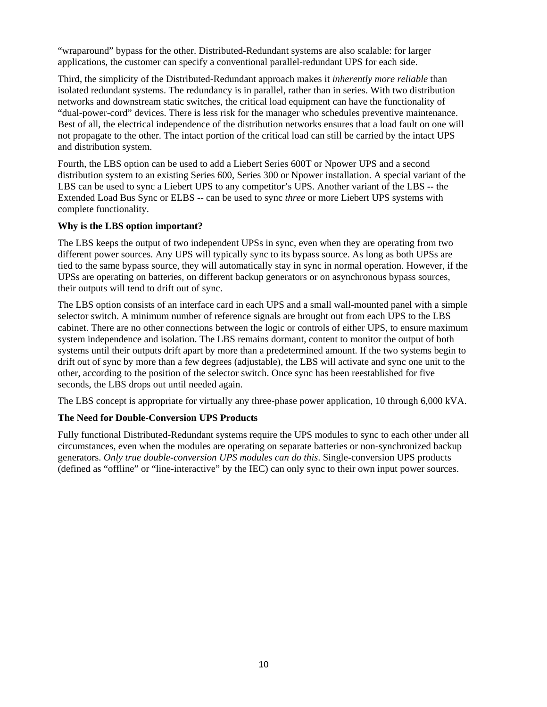"wraparound" bypass for the other. Distributed-Redundant systems are also scalable: for larger applications, the customer can specify a conventional parallel-redundant UPS for each side.

Third, the simplicity of the Distributed-Redundant approach makes it *inherently more reliable* than isolated redundant systems. The redundancy is in parallel, rather than in series. With two distribution networks and downstream static switches, the critical load equipment can have the functionality of "dual-power-cord" devices. There is less risk for the manager who schedules preventive maintenance. Best of all, the electrical independence of the distribution networks ensures that a load fault on one will not propagate to the other. The intact portion of the critical load can still be carried by the intact UPS and distribution system.

Fourth, the LBS option can be used to add a Liebert Series 600T or Npower UPS and a second distribution system to an existing Series 600, Series 300 or Npower installation. A special variant of the LBS can be used to sync a Liebert UPS to any competitor's UPS. Another variant of the LBS -- the Extended Load Bus Sync or ELBS -- can be used to sync *three* or more Liebert UPS systems with complete functionality.

#### **Why is the LBS option important?**

The LBS keeps the output of two independent UPSs in sync, even when they are operating from two different power sources. Any UPS will typically sync to its bypass source. As long as both UPSs are tied to the same bypass source, they will automatically stay in sync in normal operation. However, if the UPSs are operating on batteries, on different backup generators or on asynchronous bypass sources, their outputs will tend to drift out of sync.

The LBS option consists of an interface card in each UPS and a small wall-mounted panel with a simple selector switch. A minimum number of reference signals are brought out from each UPS to the LBS cabinet. There are no other connections between the logic or controls of either UPS, to ensure maximum system independence and isolation. The LBS remains dormant, content to monitor the output of both systems until their outputs drift apart by more than a predetermined amount. If the two systems begin to drift out of sync by more than a few degrees (adjustable), the LBS will activate and sync one unit to the other, according to the position of the selector switch. Once sync has been reestablished for five seconds, the LBS drops out until needed again.

The LBS concept is appropriate for virtually any three-phase power application, 10 through 6,000 kVA.

## **The Need for Double-Conversion UPS Products**

Fully functional Distributed-Redundant systems require the UPS modules to sync to each other under all circumstances, even when the modules are operating on separate batteries or non-synchronized backup generators. *Only true double-conversion UPS modules can do this*. Single-conversion UPS products (defined as "offline" or "line-interactive" by the IEC) can only sync to their own input power sources.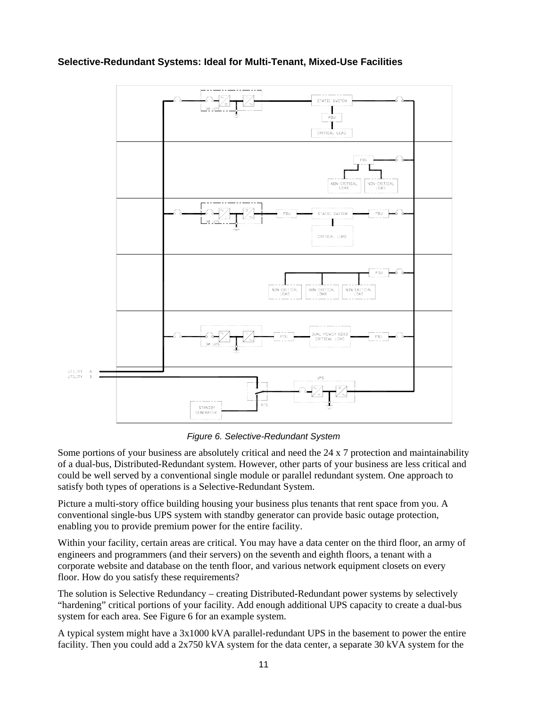

## **Selective-Redundant Systems: Ideal for Multi-Tenant, Mixed-Use Facilities**

*Figure 6. Selective-Redundant System*

Some portions of your business are absolutely critical and need the 24 x 7 protection and maintainability of a dual-bus, Distributed-Redundant system. However, other parts of your business are less critical and could be well served by a conventional single module or parallel redundant system. One approach to satisfy both types of operations is a Selective-Redundant System.

Picture a multi-story office building housing your business plus tenants that rent space from you. A conventional single-bus UPS system with standby generator can provide basic outage protection, enabling you to provide premium power for the entire facility.

Within your facility, certain areas are critical. You may have a data center on the third floor, an army of engineers and programmers (and their servers) on the seventh and eighth floors, a tenant with a corporate website and database on the tenth floor, and various network equipment closets on every floor. How do you satisfy these requirements?

The solution is Selective Redundancy – creating Distributed-Redundant power systems by selectively "hardening" critical portions of your facility. Add enough additional UPS capacity to create a dual-bus system for each area. See Figure 6 for an example system.

A typical system might have a 3x1000 kVA parallel-redundant UPS in the basement to power the entire facility. Then you could add a 2x750 kVA system for the data center, a separate 30 kVA system for the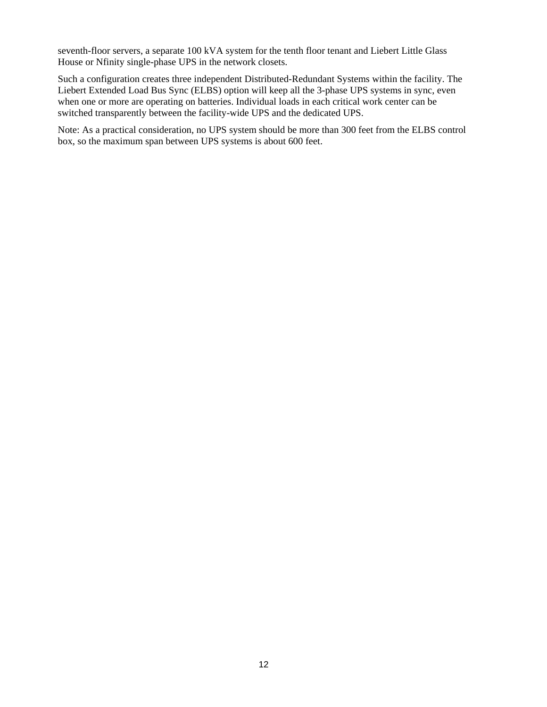seventh-floor servers, a separate 100 kVA system for the tenth floor tenant and Liebert Little Glass House or Nfinity single-phase UPS in the network closets.

Such a configuration creates three independent Distributed-Redundant Systems within the facility. The Liebert Extended Load Bus Sync (ELBS) option will keep all the 3-phase UPS systems in sync, even when one or more are operating on batteries. Individual loads in each critical work center can be switched transparently between the facility-wide UPS and the dedicated UPS.

Note: As a practical consideration, no UPS system should be more than 300 feet from the ELBS control box, so the maximum span between UPS systems is about 600 feet.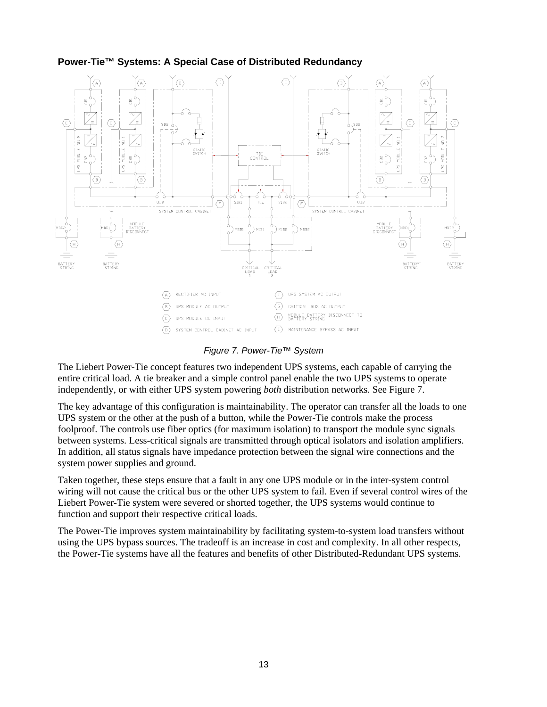

## **Power-Tie™ Systems: A Special Case of Distributed Redundancy**

*Figure 7. Power-Tie™ System*

The Liebert Power-Tie concept features two independent UPS systems, each capable of carrying the entire critical load. A tie breaker and a simple control panel enable the two UPS systems to operate independently, or with either UPS system powering *both* distribution networks. See Figure 7.

The key advantage of this configuration is maintainability. The operator can transfer all the loads to one UPS system or the other at the push of a button, while the Power-Tie controls make the process foolproof. The controls use fiber optics (for maximum isolation) to transport the module sync signals between systems. Less-critical signals are transmitted through optical isolators and isolation amplifiers. In addition, all status signals have impedance protection between the signal wire connections and the system power supplies and ground.

Taken together, these steps ensure that a fault in any one UPS module or in the inter-system control wiring will not cause the critical bus or the other UPS system to fail. Even if several control wires of the Liebert Power-Tie system were severed or shorted together, the UPS systems would continue to function and support their respective critical loads.

The Power-Tie improves system maintainability by facilitating system-to-system load transfers without using the UPS bypass sources. The tradeoff is an increase in cost and complexity. In all other respects, the Power-Tie systems have all the features and benefits of other Distributed-Redundant UPS systems.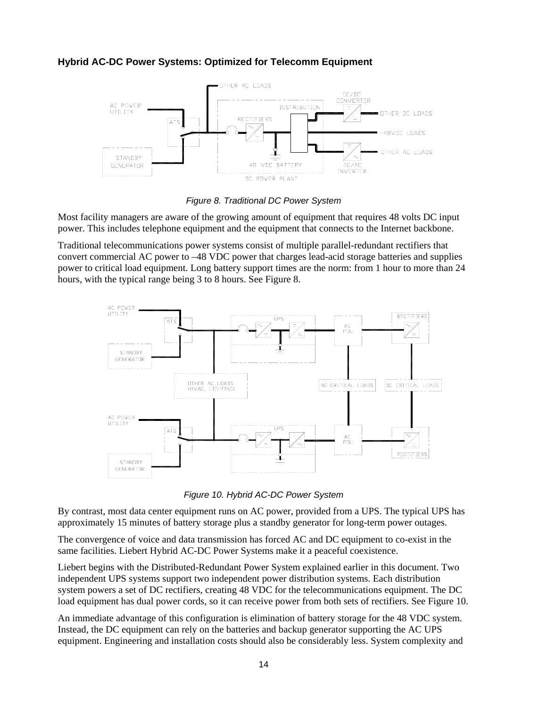## **Hybrid AC-DC Power Systems: Optimized for Telecomm Equipment**





Most facility managers are aware of the growing amount of equipment that requires 48 volts DC input power. This includes telephone equipment and the equipment that connects to the Internet backbone.

Traditional telecommunications power systems consist of multiple parallel-redundant rectifiers that convert commercial AC power to –48 VDC power that charges lead-acid storage batteries and supplies power to critical load equipment. Long battery support times are the norm: from 1 hour to more than 24 hours, with the typical range being 3 to 8 hours. See Figure 8.



*Figure 10. Hybrid AC-DC Power System*

By contrast, most data center equipment runs on AC power, provided from a UPS. The typical UPS has approximately 15 minutes of battery storage plus a standby generator for long-term power outages.

The convergence of voice and data transmission has forced AC and DC equipment to co-exist in the same facilities. Liebert Hybrid AC-DC Power Systems make it a peaceful coexistence.

Liebert begins with the Distributed-Redundant Power System explained earlier in this document. Two independent UPS systems support two independent power distribution systems. Each distribution system powers a set of DC rectifiers, creating 48 VDC for the telecommunications equipment. The DC load equipment has dual power cords, so it can receive power from both sets of rectifiers. See Figure 10.

An immediate advantage of this configuration is elimination of battery storage for the 48 VDC system. Instead, the DC equipment can rely on the batteries and backup generator supporting the AC UPS equipment. Engineering and installation costs should also be considerably less. System complexity and